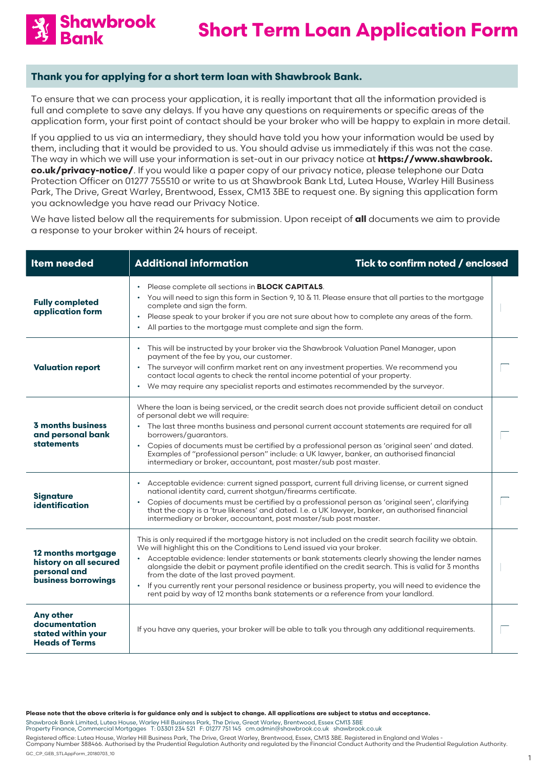

# **Thank you for applying for a short term loan with Shawbrook Bank.**

To ensure that we can process your application, it is really important that all the information provided is full and complete to save any delays. If you have any questions on requirements or specific areas of the application form, your first point of contact should be your broker who will be happy to explain in more detail.

If you applied to us via an intermediary, they should have told you how your information would be used by them, including that it would be provided to us. You should advise us immediately if this was not the case. The way in which we will use your information is set-out in our privacy notice at **https://www.shawbrook. co.uk/privacy-notice/**. If you would like a paper copy of our privacy notice, please telephone our Data Protection Officer on 01277 755510 or write to us at Shawbrook Bank Ltd, Lutea House, Warley Hill Business Park, The Drive, Great Warley, Brentwood, Essex, CM13 3BE to request one. By signing this application form you acknowledge you have read our Privacy Notice.

We have listed below all the requirements for submission. Upon receipt of **all** documents we aim to provide a response to your broker within 24 hours of receipt.

| <b>Item needed</b>                                                                  | <b>Additional information</b><br>Tick to confirm noted / enclosed                                                                                                                                                                                                                                                                                                                                                                                                                                                                                                                                                                                      |  |
|-------------------------------------------------------------------------------------|--------------------------------------------------------------------------------------------------------------------------------------------------------------------------------------------------------------------------------------------------------------------------------------------------------------------------------------------------------------------------------------------------------------------------------------------------------------------------------------------------------------------------------------------------------------------------------------------------------------------------------------------------------|--|
| <b>Fully completed</b><br>application form                                          | Please complete all sections in <b>BLOCK CAPITALS</b> .<br>$\bullet$<br>• You will need to sign this form in Section 9, 10 $\&$ 11. Please ensure that all parties to the mortgage<br>complete and sign the form.<br>Please speak to your broker if you are not sure about how to complete any areas of the form.<br>All parties to the mortgage must complete and sign the form.<br>$\bullet$                                                                                                                                                                                                                                                         |  |
| <b>Valuation report</b>                                                             | This will be instructed by your broker via the Shawbrook Valuation Panel Manager, upon<br>payment of the fee by you, our customer.<br>• The surveyor will confirm market rent on any investment properties. We recommend you<br>contact local agents to check the rental income potential of your property.<br>We may require any specialist reports and estimates recommended by the surveyor.                                                                                                                                                                                                                                                        |  |
| <b>3 months business</b><br>and personal bank<br><b>statements</b>                  | Where the loan is being serviced, or the credit search does not provide sufficient detail on conduct<br>of personal debt we will require:<br>• The last three months business and personal current account statements are required for all<br>borrowers/guarantors.<br>Copies of documents must be certified by a professional person as 'original seen' and dated.<br>$\bullet$<br>Examples of "professional person" include: a UK lawyer, banker, an authorised financial<br>intermediary or broker, accountant, post master/sub post master.                                                                                                        |  |
| <b>Signature</b><br>identification                                                  | Acceptable evidence: current signed passport, current full driving license, or current signed<br>$\bullet$<br>national identity card, current shotgun/firearms certificate.<br>• Copies of documents must be certified by a professional person as 'original seen', clarifying<br>that the copy is a 'true likeness' and dated. I.e. a UK lawyer, banker, an authorised financial<br>intermediary or broker, accountant, post master/sub post master.                                                                                                                                                                                                  |  |
| 12 months mortgage<br>history on all secured<br>personal and<br>business borrowings | This is only required if the mortgage history is not included on the credit search facility we obtain.<br>We will highlight this on the Conditions to Lend issued via your broker.<br>Acceptable evidence: lender statements or bank statements clearly showing the lender names<br>$\bullet$<br>alongside the debit or payment profile identified on the credit search. This is valid for 3 months<br>from the date of the last proved payment.<br>If you currently rent your personal residence or business property, you will need to evidence the<br>$\bullet$<br>rent paid by way of 12 months bank statements or a reference from your landlord. |  |
| <b>Any other</b><br>documentation<br>stated within your<br><b>Heads of Terms</b>    | If you have any queries, your broker will be able to talk you through any additional requirements.                                                                                                                                                                                                                                                                                                                                                                                                                                                                                                                                                     |  |

**Please note that the above criteria is for guidance only and is subject to change. All applications are subject to status and acceptance.**

Shawbrook Bank Limited, Lutea House, Warley Hill Business Park, The Drive, Great Warley, Brentwood, Essex CM13 3BE<br>Property Finance, Commercial Mortgages T: 03301 234 521 F: 01277 751 145 cm.admin@shawbrook.co.uk sh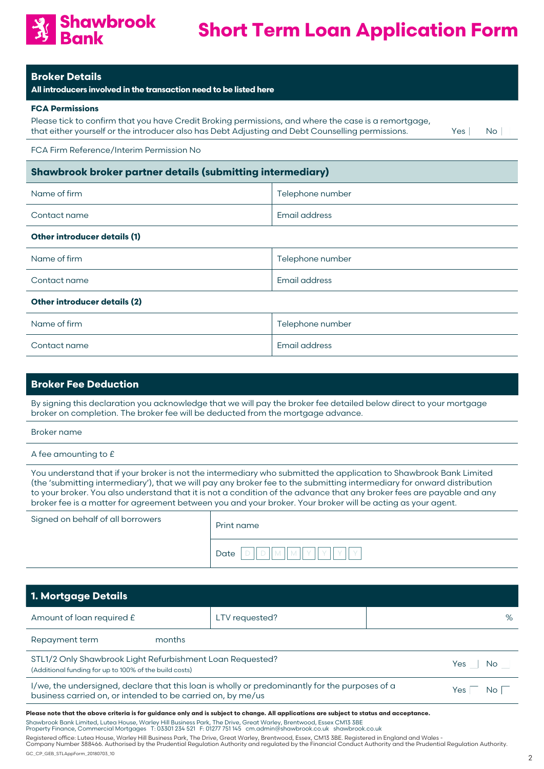

|  | <b>Broker Details</b> |  |
|--|-----------------------|--|

**All introducers involved in the transaction need to be listed here**

### **FCA Permissions**

Please tick to confirm that you have Credit Broking permissions, and where the case is a remortgage, that either yourself or the introducer also has Debt Adjusting and Debt Counselling permissions. Yes No

FCA Firm Reference/Interim Permission No

# **Shawbrook broker partner details (submitting intermediary)**

| Name of firm | Telephone number |
|--------------|------------------|
| Contact name | 'Email address   |

### **Other introducer details (1)**

| Name of firm                        | Telephone number |  |
|-------------------------------------|------------------|--|
| Contact name                        | Email address    |  |
| <b>Other introducer details (2)</b> |                  |  |

| Name of firm | Telephone number |
|--------------|------------------|
| Contact name | Email address    |

# **Broker Fee Deduction**

By signing this declaration you acknowledge that we will pay the broker fee detailed below direct to your mortgage broker on completion. The broker fee will be deducted from the mortgage advance.

Broker name

A fee amounting to £

You understand that if your broker is not the intermediary who submitted the application to Shawbrook Bank Limited (the 'submitting intermediary'), that we will pay any broker fee to the submitting intermediary for onward distribution to your broker. You also understand that it is not a condition of the advance that any broker fees are payable and any broker fee is a matter for agreement between you and your broker. Your broker will be acting as your agent.

| Signed on behalf of all borrowers | Print name |  |
|-----------------------------------|------------|--|
|                                   | Date       |  |

| <b>1. Mortgage Details</b>                                                                                                                                                                                                                                     |                |  |     |           |  |
|----------------------------------------------------------------------------------------------------------------------------------------------------------------------------------------------------------------------------------------------------------------|----------------|--|-----|-----------|--|
| Amount of loan required £                                                                                                                                                                                                                                      | LTV requested? |  |     | $\%$      |  |
| Repayment term<br>months                                                                                                                                                                                                                                       |                |  |     |           |  |
| STL1/2 Only Shawbrook Light Refurbishment Loan Requested?<br>(Additional funding for up to 100% of the build costs)                                                                                                                                            |                |  | Yes | <b>No</b> |  |
| I/we, the undersigned, declare that this loan is wholly or predominantly for the purposes of a<br>Yes<br>No.<br>business carried on, or intended to be carried on, by me/us                                                                                    |                |  |     |           |  |
| Please note that the above criteria is for guidance only and is subject to change. All applications are subject to status and acceptance.<br>Shawbrook Bank Limited Luteg House, Warley Hill Business Park, The Drive, Great Warley, Brentwood, Essex CM13,3BE |                |  |     |           |  |

Shawbrook Bank Limited, Lutea House, Warley Hill Business Park, The Drive, Great Warley, Brentwood, Essex CM13 3BE<br>Property Finance, Commercial Mortgages T: 03301 234 521 F: 01277 751 145 cm.admin@shawbrook.co.uk sh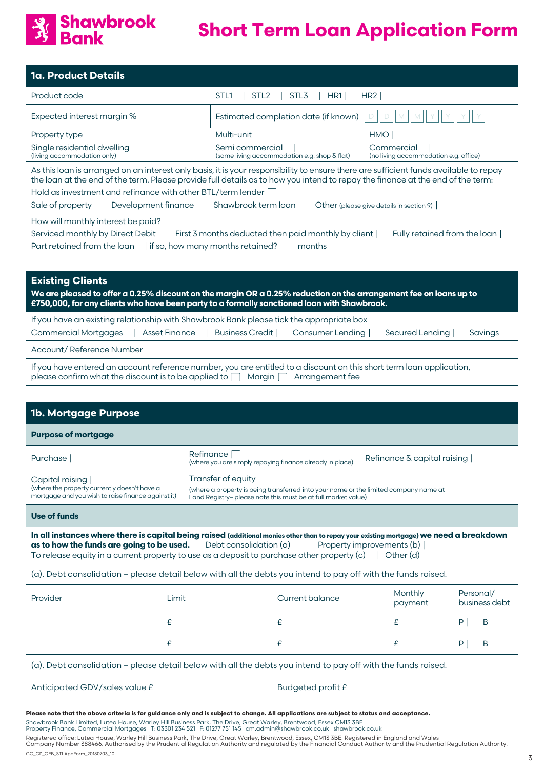

| <b>1a. Product Details</b>                                                                                                                                                                                                                                                                                                             |                                                                 |                                                     |  |  |
|----------------------------------------------------------------------------------------------------------------------------------------------------------------------------------------------------------------------------------------------------------------------------------------------------------------------------------------|-----------------------------------------------------------------|-----------------------------------------------------|--|--|
| Product code                                                                                                                                                                                                                                                                                                                           | STL <sub>2</sub><br>STL <sub>1</sub><br>STL <sub>3</sub><br>HR1 | HR <sub>2</sub>                                     |  |  |
| Expected interest margin %                                                                                                                                                                                                                                                                                                             | Estimated completion date (if known)                            | Ð                                                   |  |  |
| Property type                                                                                                                                                                                                                                                                                                                          | Multi-unit                                                      | <b>HMO</b>                                          |  |  |
| Single residential dwelling<br>(living accommodation only)                                                                                                                                                                                                                                                                             | Semi commercial<br>(some living accommodation e.g. shop & flat) | Commercial<br>(no living accommodation e.g. office) |  |  |
| As this loan is arranged on an interest only basis, it is your responsibility to ensure there are sufficient funds available to repay<br>the loan at the end of the term. Please provide full details as to how you intend to repay the finance at the end of the term:<br>Hold as investment and refinance with other BTL/term lender |                                                                 |                                                     |  |  |
| Shawbrook term loan<br>Other (please give details in section 9)<br>Development finance<br>Sale of property                                                                                                                                                                                                                             |                                                                 |                                                     |  |  |
| How will monthly interest be paid?                                                                                                                                                                                                                                                                                                     |                                                                 |                                                     |  |  |
| Serviced monthly by Direct Debit<br>First 3 months deducted then paid monthly by client<br>Fully retained from the loan                                                                                                                                                                                                                |                                                                 |                                                     |  |  |
| Part retained from the loan $\Box$ if so, how many months retained?                                                                                                                                                                                                                                                                    | months                                                          |                                                     |  |  |

# **Existing Clients**

**We are pleased to offer a 0.25% discount on the margin OR a 0.25% reduction on the arrangement fee on loans up to £750,000, for any clients who have been party to a formally sanctioned loan with Shawbrook.**

| If you have an existing relationship with Shawbrook Bank please tick the appropriate box |  |  |                                                                |  |         |
|------------------------------------------------------------------------------------------|--|--|----------------------------------------------------------------|--|---------|
| Commercial Mortgages                                                                     |  |  | Asset Finance Business Credit Consumer Lending Secured Lending |  | Savinas |
| Account/Reference Number                                                                 |  |  |                                                                |  |         |

If you have entered an account reference number, you are entitled to a discount on this short term loan application, please confirm what the discount is to be applied to  $\Box$  Margin  $\Box$  Arrangement fee

| <b>1b. Mortgage Purpose</b>                                                                                           |                                                                                                                                                                             |                                    |  |  |
|-----------------------------------------------------------------------------------------------------------------------|-----------------------------------------------------------------------------------------------------------------------------------------------------------------------------|------------------------------------|--|--|
| <b>Purpose of mortgage</b>                                                                                            |                                                                                                                                                                             |                                    |  |  |
| Purchase                                                                                                              | Refinance<br>(where you are simply repaying finance already in place)                                                                                                       | Refinance $\delta$ capital raising |  |  |
| Capital raising<br>(where the property currently doesn't have a<br>mortgage and you wish to raise finance against it) | Transfer of equity<br>(where a property is being transferred into your name or the limited company name at<br>Land Registry- please note this must be at full market value) |                                    |  |  |
| .                                                                                                                     |                                                                                                                                                                             |                                    |  |  |

**Use of funds**

**In all instances where there is capital being raised (additional monies other than to repay your existing mortgage) we need a breakdown as to how the funds are going to be used.** Debt consolidation (a) Property improvements (b) To release equity in a current property to use as a deposit to purchase other property (c)  $\qquad$  Other (d)

(a). Debt consolidation – please detail below with all the debts you intend to pay off with the funds raised.

| Provider | Limit | Current balance | Monthly<br>payment | Personal/<br>business debt |
|----------|-------|-----------------|--------------------|----------------------------|
|          |       |                 |                    | B                          |
|          |       |                 |                    | B                          |

(a). Debt consolidation – please detail below with all the debts you intend to pay off with the funds raised.

| Anticipated GDV/sales value £ | Budgeted profit £ |
|-------------------------------|-------------------|
|-------------------------------|-------------------|

**Please note that the above criteria is for guidance only and is subject to change. All applications are subject to status and acceptance.**

Shawbrook Bank Limited, Lutea House, Warley Hill Business Park, The Drive, Great Warley, Brentwood, Essex CM13 3BE<br>Property Finance, Commercial Mortgages T: 03301 234 521 F: 01277 751 145 cm.admin@shawbrook.co.uk sh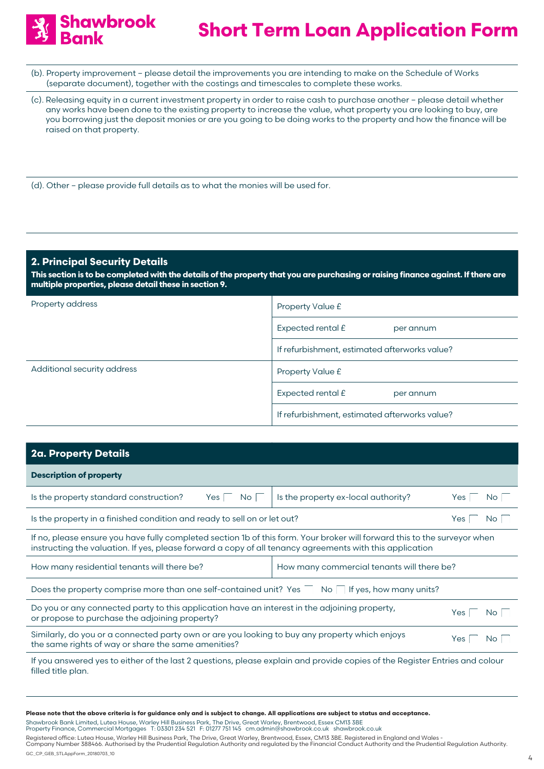

- (b). Property improvement please detail the improvements you are intending to make on the Schedule of Works (separate document), together with the costings and timescales to complete these works.
- (c). Releasing equity in a current investment property in order to raise cash to purchase another please detail whether any works have been done to the existing property to increase the value, what property you are looking to buy, are you borrowing just the deposit monies or are you going to be doing works to the property and how the finance will be raised on that property.
- (d). Other please provide full details as to what the monies will be used for.

# **2. Principal Security Details**

**This section is to be completed with the details of the property that you are purchasing or raising finance against. If there are multiple properties, please detail these in section 9.**

| Property address            | Property Value £                              |  |
|-----------------------------|-----------------------------------------------|--|
|                             | Expected rental £<br>per annum                |  |
|                             | If refurbishment, estimated afterworks value? |  |
| Additional security address | Property Value £                              |  |
|                             | Expected rental £<br>per annum                |  |
|                             | If refurbishment, estimated afterworks value? |  |

| 2a. Property Details                                                                                                                                                                                                                  |                                     |            |  |
|---------------------------------------------------------------------------------------------------------------------------------------------------------------------------------------------------------------------------------------|-------------------------------------|------------|--|
| <b>Description of property</b>                                                                                                                                                                                                        |                                     |            |  |
| Is the property standard construction?<br>Yes <sub>1</sub><br>No l                                                                                                                                                                    | Is the property ex-local authority? | Yes<br>No. |  |
| Is the property in a finished condition and ready to sell on or let out?                                                                                                                                                              |                                     |            |  |
| If no, please ensure you have fully completed section 1b of this form. Your broker will forward this to the surveyor when<br>instructing the valuation. If yes, please forward a copy of all tenancy agreements with this application |                                     |            |  |
| How many commercial tenants will there be?<br>How many residential tenants will there be?                                                                                                                                             |                                     |            |  |
| Does the property comprise more than one self-contained unit? Yes $\overline{\phantom{a}}$ No If yes, how many units?                                                                                                                 |                                     |            |  |
| Do you or any connected party to this application have an interest in the adjoining property,<br>Yes<br>No.<br>or propose to purchase the adjoining property?                                                                         |                                     |            |  |
| Similarly, do you or a connected party own or are you looking to buy any property which enjoys<br>Yes<br>the same rights of way or share the same amenities?                                                                          |                                     | No.        |  |
| in a substantial and a strong the strong and the strong of the strong strong and the strong strong and the strong strong strong strong strong strong strong strong strong strong strong strong strong strong strong strong str        |                                     |            |  |

If you answered yes to either of the last 2 questions, please explain and provide copies of the Register Entries and colour filled title plan.

**Please note that the above criteria is for guidance only and is subject to change. All applications are subject to status and acceptance.**

Shawbrook Bank Limited, Lutea House, Warley Hill Business Park, The Drive, Great Warley, Brentwood, Essex CM13 3BE<br>Property Finance, Commercial Mortgages T: 03301 234 521 F: 01277 751 145 cm.admin@shawbrook.co.uk sh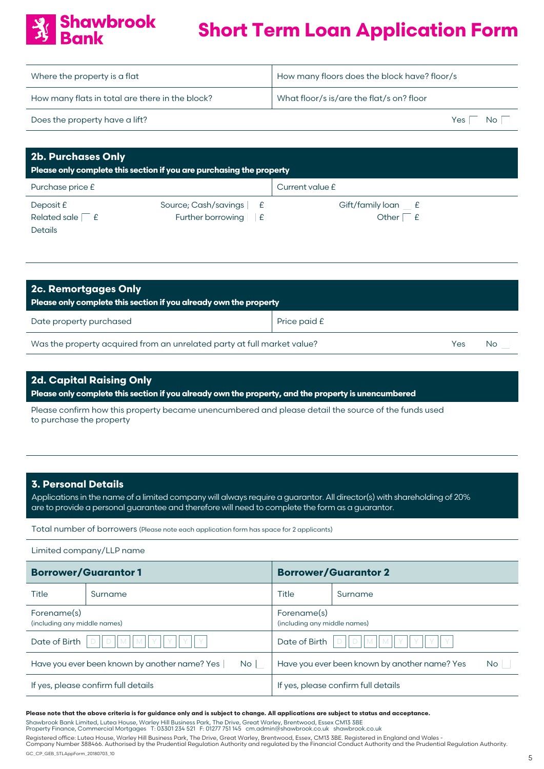| Where the property is a flat                    | How many floors does the block have? floor/s |  |
|-------------------------------------------------|----------------------------------------------|--|
| How many flats in total are there in the block? | What floor/s is/are the flat/s on? floor     |  |
| Does the property have a lift?                  | Yes<br>Nc                                    |  |

| <b>2b. Purchases Only</b><br>Please only complete this section if you are purchasing the property |                                |                 |  |  |
|---------------------------------------------------------------------------------------------------|--------------------------------|-----------------|--|--|
| Purchase price £                                                                                  |                                | Current value £ |  |  |
| Deposit $E$                                                                                       | Source; Cash/savings £         |                 |  |  |
| Related sale £                                                                                    | Further borrowing $\mathsf{E}$ | Other $E$       |  |  |
| <b>Details</b>                                                                                    |                                |                 |  |  |

| 2c. Remortgages Only<br>Please only complete this section if you already own the property |              |     |  |  |
|-------------------------------------------------------------------------------------------|--------------|-----|--|--|
| Date property purchased                                                                   | Price paid £ |     |  |  |
| Was the property acquired from an unrelated party at full market value?<br>Yes.           |              | No. |  |  |

# **2d. Capital Raising Only**

**Shawbrook** 

**Please only complete this section if you already own the property, and the property is unencumbered**

Please confirm how this property became unencumbered and please detail the source of the funds used to purchase the property

## **3. Personal Details**

Applications in the name of a limited company will always require a guarantor. All director(s) with shareholding of 20% are to provide a personal guarantee and therefore will need to complete the form as a guarantor.

Total number of borrowers (Please note each application form has space for 2 applicants)

Limited company/LLP name

| <b>Borrower/Guarantor1</b>                    |         | <b>Borrower/Guarantor 2</b>                   |         |
|-----------------------------------------------|---------|-----------------------------------------------|---------|
| Title                                         | Surname |                                               | Surname |
| Forename(s)                                   |         | Forename(s)                                   |         |
| (including any middle names)                  |         | (including any middle names)                  |         |
| Date of Birth                                 |         | Date of Birth                                 |         |
| IM.                                           |         | M                                             |         |
| M                                             |         | $\blacksquare$ M <sub>1</sub>                 |         |
| Have you ever been known by another name? Yes |         | Have you ever been known by another name? Yes |         |
| No <sub>1</sub>                               |         | <b>No</b>                                     |         |
| If yes, please confirm full details           |         | If yes, please confirm full details           |         |

### **Please note that the above criteria is for guidance only and is subject to change. All applications are subject to status and acceptance.**

Shawbrook Bank Limited, Lutea House, Warley Hill Business Park, The Drive, Great Warley, Brentwood, Essex CM13 3BE<br>Property Finance, Commercial Mortgages T: 03301 234 521 F: 01277 751 145 cm.admin@shawbrook.co.uk sh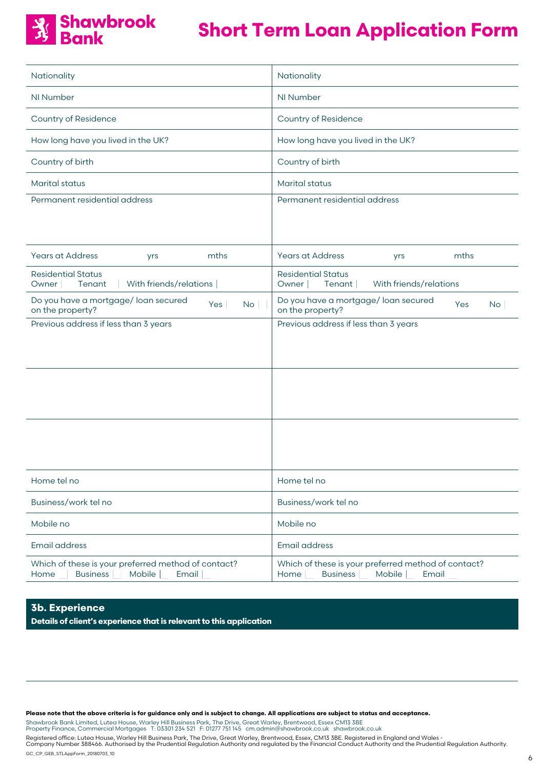# **Schawbrook**<br>**Bank**

# **Short Term Loan Application Form**

| Nationality                                                                                          | Nationality                                                                               |
|------------------------------------------------------------------------------------------------------|-------------------------------------------------------------------------------------------|
| NI Number                                                                                            | NI Number                                                                                 |
| <b>Country of Residence</b>                                                                          | Country of Residence                                                                      |
| How long have you lived in the UK?                                                                   | How long have you lived in the UK?                                                        |
| Country of birth                                                                                     | Country of birth                                                                          |
| <b>Marital status</b>                                                                                | <b>Marital status</b>                                                                     |
| Permanent residential address                                                                        | Permanent residential address                                                             |
|                                                                                                      |                                                                                           |
| <b>Years at Address</b><br>mths<br>yrs                                                               | <b>Years at Address</b><br>mths<br>yrs                                                    |
| <b>Residential Status</b><br>Tenant<br>With friends/relations<br>Owner                               | <b>Residential Status</b><br>With friends/relations<br>Tenant<br>Owner                    |
| Do you have a mortgage/ loan secured<br><b>No</b><br>Yes<br>on the property?                         | Do you have a mortgage/ loan secured<br>Yes<br><b>No</b><br>on the property?              |
| Previous address if less than 3 years                                                                | Previous address if less than 3 years                                                     |
|                                                                                                      |                                                                                           |
|                                                                                                      |                                                                                           |
|                                                                                                      |                                                                                           |
|                                                                                                      |                                                                                           |
|                                                                                                      |                                                                                           |
| Home tel no                                                                                          | Home tel no                                                                               |
| Business/work tel no                                                                                 | Business/work tel no                                                                      |
| Mobile no                                                                                            | Mobile no                                                                                 |
| <b>Email address</b>                                                                                 | <b>Email address</b>                                                                      |
| Which of these is your preferred method of contact?<br>Home _ Business L<br>Mobile  <br>Email $\Box$ | Which of these is your preferred method of contact?<br>Home _ Business _ Mobile _ Email _ |

# **3b. Experience**

**Details of client's experience that is relevant to this application**

**Please note that the above criteria is for guidance only and is subject to change. All applications are subject to status and acceptance.**

Shawbrook Bank Limited, Lutea House, Warley Hill Business Park, The Drive, Great Warley, Brentwood, Essex CM13 3BE<br>Property Finance, Commercial Mortgages T: 03301 234 521 F: 01277 751 145 cm.admin@shawbrook.co.uk sh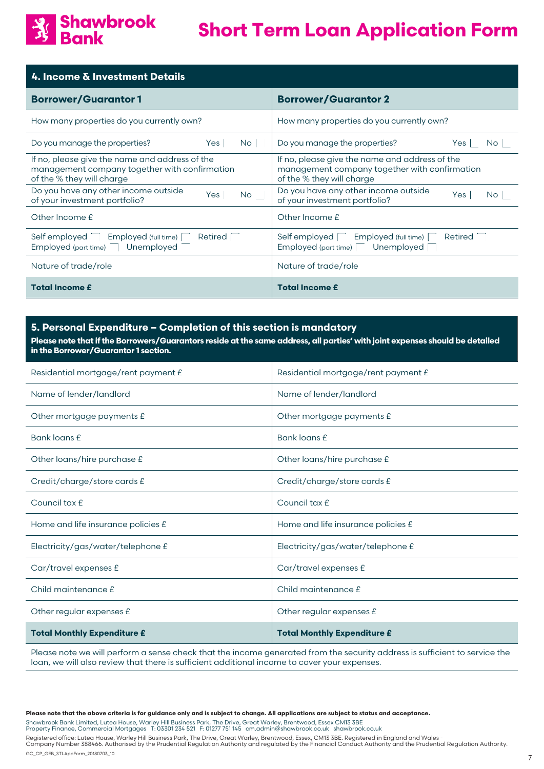

| <b>4. Income &amp; Investment Details</b>                                                                                    |                                                                                                                              |  |  |
|------------------------------------------------------------------------------------------------------------------------------|------------------------------------------------------------------------------------------------------------------------------|--|--|
| <b>Borrower/Guarantor1</b>                                                                                                   | <b>Borrower/Guarantor 2</b>                                                                                                  |  |  |
| How many properties do you currently own?                                                                                    | How many properties do you currently own?                                                                                    |  |  |
| Do you manage the properties?<br>Yes  <br>No <sub>1</sub>                                                                    | Do you manage the properties?<br>Yes<br>No                                                                                   |  |  |
| If no, please give the name and address of the<br>management company together with confirmation<br>of the % they will charge | If no, please give the name and address of the<br>management company together with confirmation<br>of the % they will charge |  |  |
| Do you have any other income outside<br>Yes No<br>of your investment portfolio?                                              | Do you have any other income outside<br>Yes  <br>No<br>of your investment portfolio?                                         |  |  |
| Other Income £                                                                                                               | Other Income £                                                                                                               |  |  |
| Self employed<br>Employed (full time)<br>Retired<br>Employed (part time)<br>Unemployed                                       | Self employed<br>Employed (full time)<br>Retired<br>Unemployed<br>Employed (part time)                                       |  |  |
| Nature of trade/role                                                                                                         | Nature of trade/role                                                                                                         |  |  |
| <b>Total Income £</b>                                                                                                        | <b>Total Income £</b>                                                                                                        |  |  |

## **5. Personal Expenditure – Completion of this section is mandatory**

**Please note that if the Borrowers/Guarantors reside at the same address, all parties' with joint expenses should be detailed in the Borrower/Guarantor 1 section.**

| Residential mortgage/rent payment £ | Residential mortgage/rent payment £ |
|-------------------------------------|-------------------------------------|
| Name of lender/landlord             | Name of lender/landlord             |
| Other mortgage payments £           | Other mortgage payments £           |
| Bank loans £                        | Bank loans £                        |
| Other loans/hire purchase £         | Other loans/hire purchase £         |
| Credit/charge/store cards £         | Credit/charge/store cards £         |
| Council tax £                       | Council tax £                       |
| Home and life insurance policies £  | Home and life insurance policies £  |
| Electricity/gas/water/telephone £   | Electricity/gas/water/telephone £   |
| Car/travel expenses £               | Car/travel expenses £               |
| Child maintenance £                 | Child maintenance £                 |
| Other regular expenses £            | Other regular expenses £            |
| <b>Total Monthly Expenditure £</b>  | <b>Total Monthly Expenditure £</b>  |

Please note we will perform a sense check that the income generated from the security address is sufficient to service the loan, we will also review that there is sufficient additional income to cover your expenses.

**Please note that the above criteria is for guidance only and is subject to change. All applications are subject to status and acceptance.**

Shawbrook Bank Limited, Lutea House, Warley Hill Business Park, The Drive, Great Warley, Brentwood, Essex CM13 3BE<br>Property Finance, Commercial Mortgages T: 03301 234 521 F: 01277 751 145 cm.admin@shawbrook.co.uk sh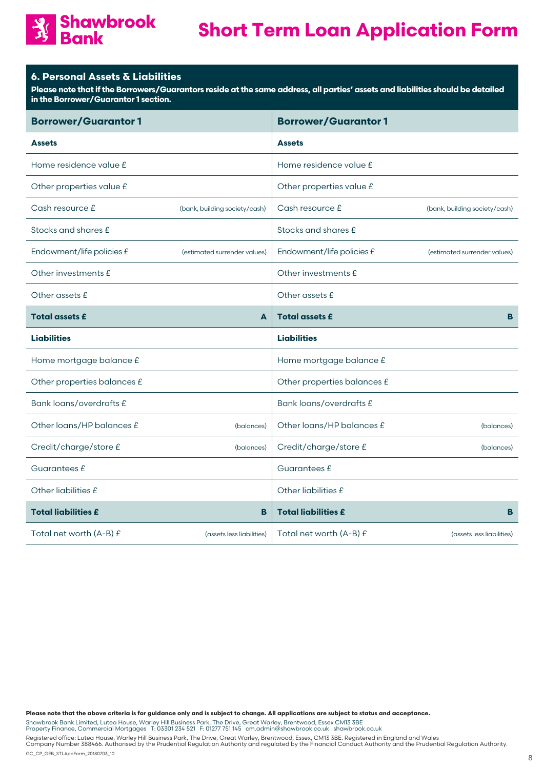# **Shawbrook**<br>**Bank**

# **Short Term Loan Application Form**

# **6. Personal Assets & Liabilities**

**Please note that if the Borrowers/Guarantors reside at the same address, all parties' assets and liabilities should be detailed in the Borrower/Guarantor 1 section.** 

| <b>Borrower/Guarantor1</b>  |                               | <b>Borrower/Guarantor1</b>  |                               |
|-----------------------------|-------------------------------|-----------------------------|-------------------------------|
| <b>Assets</b>               |                               | <b>Assets</b>               |                               |
| Home residence value £      |                               | Home residence value £      |                               |
| Other properties value £    |                               | Other properties value £    |                               |
| Cash resource £             | (bank, building society/cash) | Cash resource £             | (bank, building society/cash) |
| Stocks and shares £         |                               | Stocks and shares £         |                               |
| Endowment/life policies £   | (estimated surrender values)  | Endowment/life policies £   | (estimated surrender values)  |
| Other investments £         |                               | Other investments £         |                               |
| Other assets £              |                               | Other assets £              |                               |
| <b>Total assets £</b>       | A                             | <b>Total assets £</b>       | B                             |
| <b>Liabilities</b>          |                               | <b>Liabilities</b>          |                               |
| Home mortgage balance £     |                               | Home mortgage balance £     |                               |
| Other properties balances £ |                               | Other properties balances £ |                               |
| Bank loans/overdrafts £     |                               | Bank loans/overdrafts £     |                               |
| Other loans/HP balances £   | (balances)                    | Other loans/HP balances £   | (balances)                    |
| Credit/charge/store £       | (balances)                    | Credit/charge/store £       | (balances)                    |
| Guarantees £                |                               | Guarantees £                |                               |
| Other liabilities £         |                               | Other liabilities £         |                               |
| <b>Total liabilities £</b>  | B                             | <b>Total liabilities £</b>  | B                             |
| Total net worth (A-B) £     | (assets less liabilities)     | Total net worth (A-B) £     | (assets less liabilities)     |

**Please note that the above criteria is for guidance only and is subject to change. All applications are subject to status and acceptance.**

Shawbrook Bank Limited, Lutea House, Warley Hill Business Park, The Drive, Great Warley, Brentwood, Essex CM13 3BE<br>Property Finance, Commercial Mortgages T: 03301 234 521 F: 01277 751 145 cm.admin@shawbrook.co.uk sh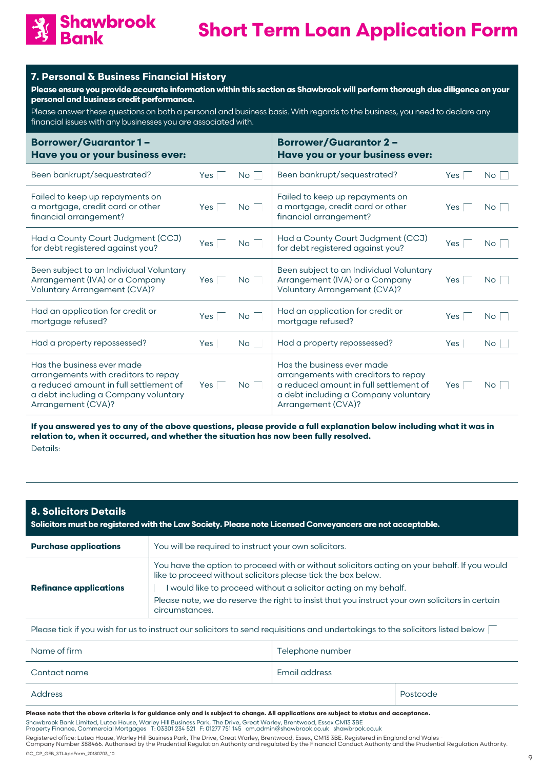

# **7. Personal & Business Financial History**

**Please ensure you provide accurate information within this section as Shawbrook will perform thorough due diligence on your personal and business credit performance.**

Please answer these questions on both a personal and business basis. With regards to the business, you need to declare any financial issues with any businesses you are associated with.

| <b>Borrower/Guarantor1-</b><br>Have you or your business ever:                                                                                                             |     |           | <b>Borrower/Guarantor 2-</b><br>Have you or your business ever:                                                                                                            |     |    |
|----------------------------------------------------------------------------------------------------------------------------------------------------------------------------|-----|-----------|----------------------------------------------------------------------------------------------------------------------------------------------------------------------------|-----|----|
| Been bankrupt/sequestrated?                                                                                                                                                | Yes | <b>No</b> | Been bankrupt/sequestrated?                                                                                                                                                | Yes | No |
| Failed to keep up repayments on<br>a mortgage, credit card or other<br>financial arrangement?                                                                              | Yes | <b>No</b> | Failed to keep up repayments on<br>a mortgage, credit card or other<br>financial arrangement?                                                                              | Yes | No |
| Had a County Court Judgment (CCJ)<br>for debt registered against you?                                                                                                      | Yes | <b>No</b> | Had a County Court Judgment (CCJ)<br>for debt registered against you?                                                                                                      | Yes | No |
| Been subject to an Individual Voluntary<br>Arrangement (IVA) or a Company<br><b>Voluntary Arrangement (CVA)?</b>                                                           | Yes | <b>No</b> | Been subject to an Individual Voluntary<br>Arrangement (IVA) or a Company<br>Voluntary Arrangement (CVA)?                                                                  | Yes | No |
| Had an application for credit or<br>mortgage refused?                                                                                                                      | Yes | <b>No</b> | Had an application for credit or<br>mortgage refused?                                                                                                                      | Yes | No |
| Had a property repossessed?                                                                                                                                                | Yes | No        | Had a property repossessed?                                                                                                                                                | Yes | No |
| Has the business ever made<br>arrangements with creditors to repay<br>a reduced amount in full settlement of<br>a debt including a Company voluntary<br>Arrangement (CVA)? | Yes | <b>No</b> | Has the business ever made<br>arrangements with creditors to repay<br>a reduced amount in full settlement of<br>a debt including a Company voluntary<br>Arrangement (CVA)? | Yes | No |

**If you answered yes to any of the above questions, please provide a full explanation below including what it was in relation to, when it occurred, and whether the situation has now been fully resolved.** Details:

| <b>8. Solicitors Details</b><br>Solicitors must be registered with the Law Society. Please note Licensed Conveyancers are not acceptable. |                                                                                                                                                                                                                                                                                                                                                       |                  |  |
|-------------------------------------------------------------------------------------------------------------------------------------------|-------------------------------------------------------------------------------------------------------------------------------------------------------------------------------------------------------------------------------------------------------------------------------------------------------------------------------------------------------|------------------|--|
| <b>Purchase applications</b>                                                                                                              | You will be required to instruct your own solicitors.                                                                                                                                                                                                                                                                                                 |                  |  |
| <b>Refinance applications</b>                                                                                                             | You have the option to proceed with or without solicitors acting on your behalf. If you would<br>like to proceed without solicitors please tick the box below.<br>would like to proceed without a solicitor acting on my behalf.<br>Please note, we do reserve the right to insist that you instruct your own solicitors in certain<br>circumstances. |                  |  |
| Please tick if you wish for us to instruct our solicitors to send requisitions and undertakings to the solicitors listed below            |                                                                                                                                                                                                                                                                                                                                                       |                  |  |
| Name of firm                                                                                                                              |                                                                                                                                                                                                                                                                                                                                                       | Telephone number |  |
| Contact name                                                                                                                              |                                                                                                                                                                                                                                                                                                                                                       | Email address    |  |

| . | . |
|---|---|
|   |   |

**Please note that the above criteria is for guidance only and is subject to change. All applications are subject to status and acceptance.**

Shawbrook Bank Limited, Lutea House, Warley Hill Business Park, The Drive, Great Warley, Brentwood, Essex CM13 3BE<br>Property Finance, Commercial Mortgages T: 03301 234 521 F: 01277 751 145 cm.admin@shawbrook.co.uk sh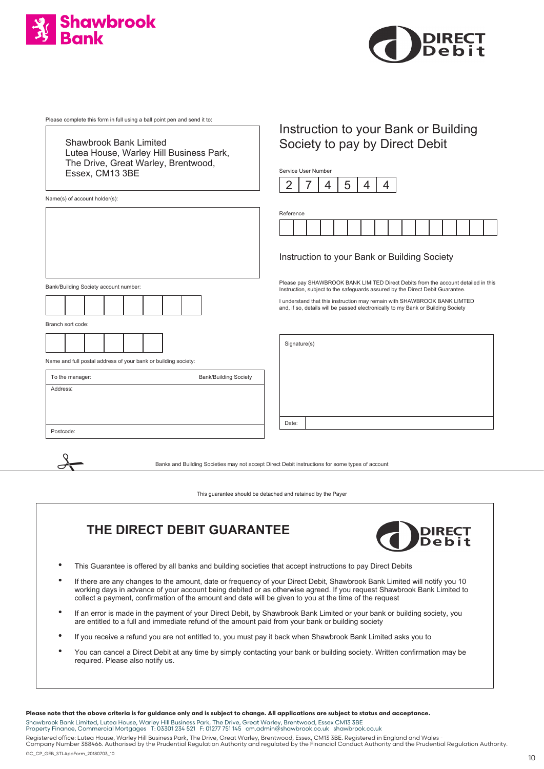



Please complete this form in full using a ball point pen and send it to:

Shawbrook Bank Limited Lutea House, Warley Hill Business Park, The Drive, Great Warley, Brentwood, Essex, CM13 3BE

Name(s) of account holder(s):

Bank/Building Society account number:



Branch sort code:

 $\frac{1}{\sqrt{2}}$ 



Name and full postal address of your bank or building society:

| To the manager: | <b>Bank/Building Society</b> |
|-----------------|------------------------------|
| Address:        |                              |
|                 |                              |
|                 |                              |
| Postcode:       |                              |

# Instruction to your Bank or Building Society to pay by Direct Debit

Service User Number



| Reference |  |  |  |  |  |  |  |
|-----------|--|--|--|--|--|--|--|
|           |  |  |  |  |  |  |  |

## Instruction to your Bank or Building Society

Please pay SHAWBROOK BANK LIMITED Direct Debits from the account detailed in this Instruction, subject to the safeguards assured by the Direct Debit Guarantee.

I understand that this instruction may remain with SHAWBROOK BANK LIMTED and, if so, details will be passed electronically to my Bank or Building Society

Signature(s)

Date:

Banks and Building Societies may not accept Direct Debit instructions for some types of account

This guarantee should be detached and retained by the Payer

# **THE DIRECT DEBIT GUARANTEE**



- This Guarantee is offered by all banks and building societies that accept instructions to pay Direct Debits
- If there are any changes to the amount, date or frequency of your Direct Debit, Shawbrook Bank Limited will notify you 10 working days in advance of your account being debited or as otherwise agreed. If you request Shawbrook Bank Limited to collect a payment, confirmation of the amount and date will be given to you at the time of the request
- If an error is made in the payment of your Direct Debit, by Shawbrook Bank Limited or your bank or building society, you are entitled to a full and immediate refund of the amount paid from your bank or building society
- If you receive a refund you are not entitled to, you must pay it back when Shawbrook Bank Limited asks you to
- You can cancel a Direct Debit at any time by simply contacting your bank or building society. Written confirmation may be required. Please also notify us.

**Please note that the above criteria is for guidance only and is subject to change. All applications are subject to status and acceptance.**

Shawbrook Bank Limited, Lutea House, Warley Hill Business Park, The Drive, Great Warley, Brentwood, Essex CM13 3BE<br>Property Finance, Commercial Mortgages T: 03301 234 521 F: 01277 751 145 cm.admin@shawbrook.co.uk sh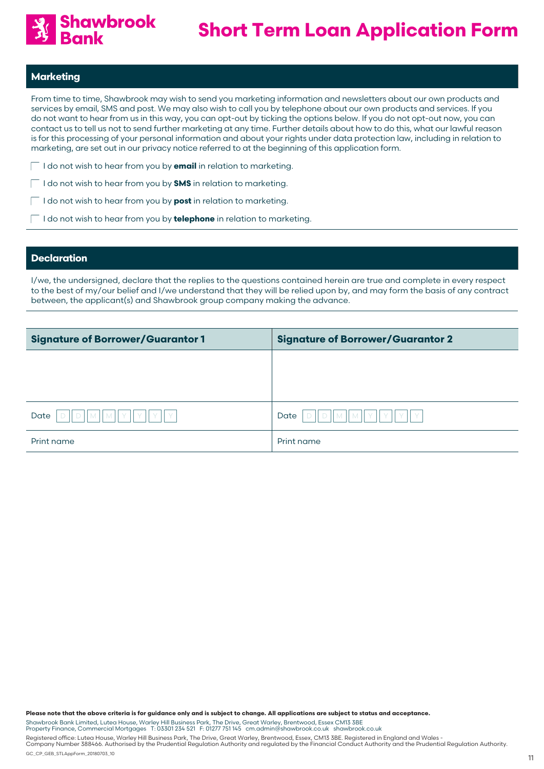

# **Marketing**

From time to time, Shawbrook may wish to send you marketing information and newsletters about our own products and services by email, SMS and post. We may also wish to call you by telephone about our own products and services. If you do not want to hear from us in this way, you can opt-out by ticking the options below. If you do not opt-out now, you can contact us to tell us not to send further marketing at any time. Further details about how to do this, what our lawful reason is for this processing of your personal information and about your rights under data protection law, including in relation to marketing, are set out in our privacy notice referred to at the beginning of this application form.

- I do not wish to hear from you by **email** in relation to marketing.
	- I do not wish to hear from you by **SMS** in relation to marketing.
	- I do not wish to hear from you by **post** in relation to marketing.
	- I do not wish to hear from you by **telephone** in relation to marketing.

## **Declaration**

I/we, the undersigned, declare that the replies to the questions contained herein are true and complete in every respect to the best of my/our belief and I/we understand that they will be relied upon by, and may form the basis of any contract between, the applicant(s) and Shawbrook group company making the advance.

| <b>Signature of Borrower/Guarantor 1</b> | <b>Signature of Borrower/Guarantor 2</b>  |
|------------------------------------------|-------------------------------------------|
|                                          |                                           |
|                                          |                                           |
|                                          |                                           |
| Date<br>$\vee$<br>$\Lambda$              | Date<br>$\mathsf{IMIV}$<br>V<br>$\Lambda$ |
| Print name                               | Print name                                |

**Please note that the above criteria is for guidance only and is subject to change. All applications are subject to status and acceptance.**

Shawbrook Bank Limited, Lutea House, Warley Hill Business Park, The Drive, Great Warley, Brentwood, Essex CM13 3BE<br>Property Finance, Commercial Mortgages T: 03301 234 521 F: 01277 751 145 cm.admin@shawbrook.co.uk sh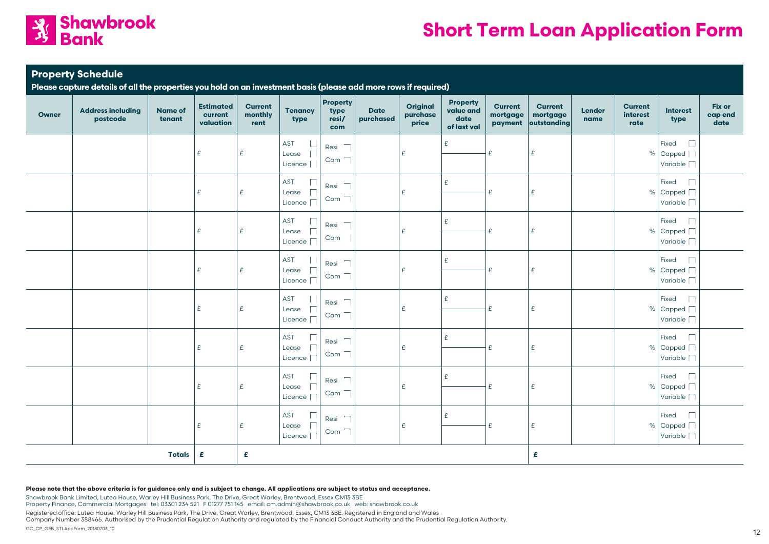

# **Property Schedule**

**Please capture details of all the properties you hold on an investment basis (please add more rows if required)**

| <b>Owner</b>       | <b>Address including</b><br>postcode | <b>Name of</b><br>tenant | <b>Estimated</b><br>current<br>valuation | <b>Current</b><br>monthly<br>rent | <b>Tenancy</b><br>type                                | <b>Property</b><br>type<br>resi/<br>com                             | <b>Date</b><br>purchased | <b>Original</b><br>purchase<br>price | <b>Property</b><br>value and<br>date<br>of last val | <b>Current</b><br>mortgage<br>payment | <b>Current</b><br>mortgage<br>outstanding | Lender<br>name | <b>Current</b><br>interest<br>rate | <b>Interest</b><br>type                       | Fix or<br>cap end<br>date |
|--------------------|--------------------------------------|--------------------------|------------------------------------------|-----------------------------------|-------------------------------------------------------|---------------------------------------------------------------------|--------------------------|--------------------------------------|-----------------------------------------------------|---------------------------------------|-------------------------------------------|----------------|------------------------------------|-----------------------------------------------|---------------------------|
|                    |                                      |                          | £                                        | £                                 | AST<br>Lease<br>Licence                               | Resi<br>$\frac{1}{2}$<br>Com                                        |                          | £                                    | £                                                   | £                                     | E                                         |                |                                    | Fixed<br>% Capped $\Box$<br>Variable [        |                           |
|                    |                                      |                          | £                                        | £                                 | AST<br>$\sqrt{2}$<br>Lease<br>Licence                 | Resi<br>Com                                                         |                          | £                                    | £                                                   | £                                     | $\epsilon$                                |                |                                    | Fixed<br>% Capped $\Box$<br>Variable <b>T</b> |                           |
|                    |                                      |                          | £                                        | £                                 | <b>AST</b><br>Lease<br>Licence                        | Resi<br>Com                                                         |                          | £                                    | £                                                   | £                                     | £                                         |                |                                    | Fixed<br>% Capped $\Box$<br>Variable [        |                           |
|                    |                                      |                          | £                                        | £                                 | AST<br>Lease<br>Licence                               | $\overline{\phantom{a}}$<br>Resi<br>$\overline{\phantom{a}}$<br>Com |                          | £                                    | £                                                   | £                                     | E                                         |                |                                    | Fixed<br>% Capped<br>Variable [               |                           |
|                    |                                      |                          | £                                        | £                                 | AST<br>$\sqrt{2}$<br>Lease<br>Licence                 | Resi<br>Com                                                         |                          | £                                    | £                                                   | £                                     | E                                         |                |                                    | Fixed<br>% Capped $\Box$<br>Variable          |                           |
|                    |                                      |                          | £                                        | £                                 | <b>AST</b><br>$\Box$<br>Lease<br>Licence <sup>[</sup> | $\overbrace{\phantom{13333}}$<br>Resi<br>Com                        |                          | £                                    | £                                                   | £                                     | E                                         |                |                                    | Fixed<br>% Capped<br>Variable [               |                           |
|                    |                                      |                          | £                                        | £                                 | AST<br>$\Box$<br>Lease<br>Licence <sup>[</sup>        | Resi<br>Com                                                         |                          | £                                    | £                                                   | £                                     | E                                         |                |                                    | Fixed<br>% Capped<br>Variable [               |                           |
|                    |                                      |                          | £                                        | E                                 | <b>AST</b><br>$\Box$<br>Lease<br>Licence <sup>[</sup> | Resi<br>$\overbrace{\qquad \qquad }^{}$<br>Com                      |                          | £                                    | £                                                   | £                                     | E                                         |                |                                    | Fixed<br>% Capped<br>Variable [               |                           |
| £<br><b>Totals</b> |                                      |                          |                                          | £                                 |                                                       |                                                                     |                          |                                      |                                                     |                                       | £                                         |                |                                    |                                               |                           |

#### **Please note that the above criteria is for guidance only and is subject to change. All applications are subject to status and acceptance.**

Shawbrook Bank Limited, Lutea House, Warley Hill Business Park, The Drive, Great Warley, Brentwood, Essex CM13 3BE Property Finance, Commercial Mortgages tel: 03301 234 521 F 01277 751 145 email: cm.admin@shawbrook.co.uk web: shawbrook.co.uk